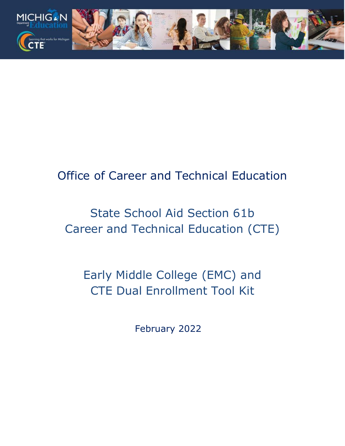

# Office of Career and Technical Education

# State School Aid Section 61b Career and Technical Education (CTE)

Early Middle College (EMC) and CTE Dual Enrollment Tool Kit

February 2022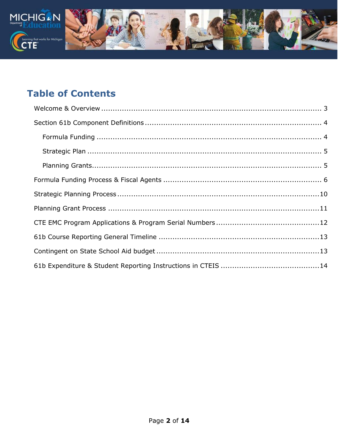

# **Table of Contents**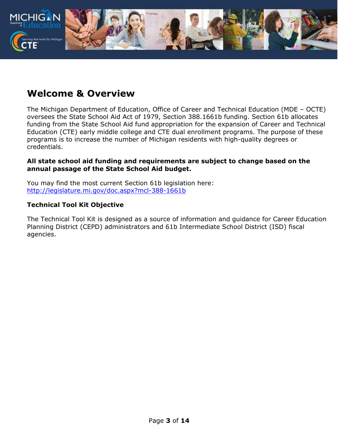

## <span id="page-2-0"></span>**Welcome & Overview**

The Michigan Department of Education, Office of Career and Technical Education (MDE – OCTE) oversees the State School Aid Act of 1979, Section 388.1661b funding. Section 61b allocates funding from the State School Aid fund appropriation for the expansion of Career and Technical Education (CTE) early middle college and CTE dual enrollment programs. The purpose of these programs is to increase the number of Michigan residents with high-quality degrees or credentials.

#### **All state school aid funding and requirements are subject to change based on the annual passage of the State School Aid budget.**

You may find the most current Section 61b legislation here: <http://legislature.mi.gov/doc.aspx?mcl-388-1661b>

#### **Technical Tool Kit Objective**

The Technical Tool Kit is designed as a source of information and guidance for Career Education Planning District (CEPD) administrators and 61b Intermediate School District (ISD) fiscal agencies.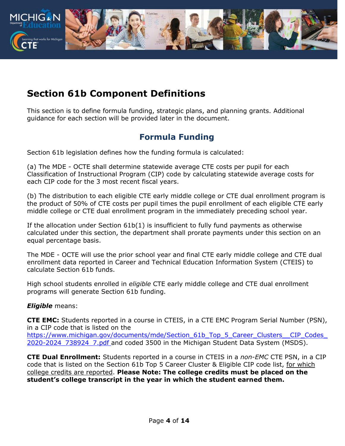

# <span id="page-3-0"></span>**Section 61b Component Definitions**

This section is to define formula funding, strategic plans, and planning grants. Additional guidance for each section will be provided later in the document.

### **Formula Funding**

<span id="page-3-1"></span>Section 61b legislation defines how the funding formula is calculated:

(a) The MDE - OCTE shall determine statewide average CTE costs per pupil for each Classification of Instructional Program (CIP) code by calculating statewide average costs for each CIP code for the 3 most recent fiscal years.

(b) The distribution to each eligible CTE early middle college or CTE dual enrollment program is the product of 50% of CTE costs per pupil times the pupil enrollment of each eligible CTE early middle college or CTE dual enrollment program in the immediately preceding school year.

If the allocation under Section 61b(1) is insufficient to fully fund payments as otherwise calculated under this section, the department shall prorate payments under this section on an equal percentage basis.

The MDE - OCTE will use the prior school year and final CTE early middle college and CTE dual enrollment data reported in Career and Technical Education Information System (CTEIS) to calculate Section 61b funds.

High school students enrolled in *eligible* CTE early middle college and CTE dual enrollment programs will generate Section 61b funding.

#### *Eligible* means:

**CTE EMC:** Students reported in a course in CTEIS, in a CTE EMC Program Serial Number (PSN), in a CIP code that is listed on the https://www.michigan.gov/documents/mde/Section\_61b\_Top\_5\_Career\_Clusters\_\_CIP\_Codes 2020-2024 738924 7.pdf and coded 3500 in the Michigan Student Data System (MSDS).

**CTE Dual Enrollment:** Students reported in a course in CTEIS in a *non-EMC* CTE PSN, in a CIP code that is listed on the Section 61b Top 5 Career Cluster & Eligible CIP code list, for which college credits are reported. **Please Note: The college credits must be placed on the student's college transcript in the year in which the student earned them.**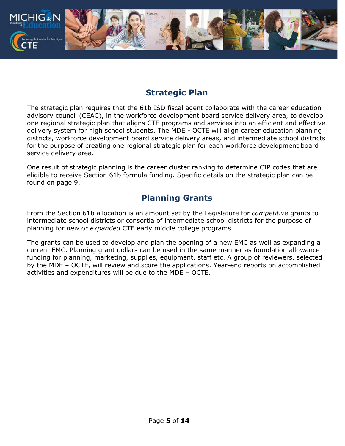

### **Strategic Plan**

<span id="page-4-0"></span>The strategic plan requires that the 61b ISD fiscal agent collaborate with the career education advisory council (CEAC), in the workforce development board service delivery area, to develop one regional strategic plan that aligns CTE programs and services into an efficient and effective delivery system for high school students. The MDE - OCTE will align career education planning districts, workforce development board service delivery areas, and intermediate school districts for the purpose of creating one regional strategic plan for each workforce development board service delivery area.

One result of strategic planning is the career cluster ranking to determine CIP codes that are eligible to receive Section 61b formula funding. Specific details on the strategic plan can be found on page 9.

### **Planning Grants**

<span id="page-4-1"></span>From the Section 61b allocation is an amount set by the Legislature for *competitive* grants to intermediate school districts or consortia of intermediate school districts for the purpose of planning for *new* or *expanded* CTE early middle college programs.

The grants can be used to develop and plan the opening of a new EMC as well as expanding a current EMC. Planning grant dollars can be used in the same manner as foundation allowance funding for planning, marketing, supplies, equipment, staff etc. A group of reviewers, selected by the MDE – OCTE, will review and score the applications. Year-end reports on accomplished activities and expenditures will be due to the MDE – OCTE.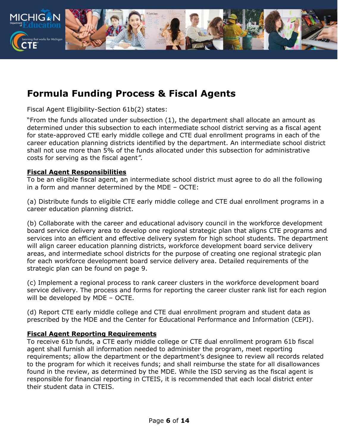

# <span id="page-5-0"></span>**Formula Funding Process & Fiscal Agents**

Fiscal Agent Eligibility-Section 61b(2) states:

"From the funds allocated under subsection (1), the department shall allocate an amount as determined under this subsection to each intermediate school district serving as a fiscal agent for state-approved CTE early middle college and CTE dual enrollment programs in each of the career education planning districts identified by the department. An intermediate school district shall not use more than 5% of the funds allocated under this subsection for administrative costs for serving as the fiscal agent*".*

#### **Fiscal Agent Responsibilities**

To be an eligible fiscal agent, an intermediate school district must agree to do all the following in a form and manner determined by the MDE – OCTE:

(a) Distribute funds to eligible CTE early middle college and CTE dual enrollment programs in a career education planning district.

(b) Collaborate with the career and educational advisory council in the workforce development board service delivery area to develop one regional strategic plan that aligns CTE programs and services into an efficient and effective delivery system for high school students. The department will align career education planning districts, workforce development board service delivery areas, and intermediate school districts for the purpose of creating one regional strategic plan for each workforce development board service delivery area. Detailed requirements of the strategic plan can be found on page 9.

(c) Implement a regional process to rank career clusters in the workforce development board service delivery. The process and forms for reporting the career cluster rank list for each region will be developed by MDE – OCTE.

(d) Report CTE early middle college and CTE dual enrollment program and student data as prescribed by the MDE and the Center for Educational Performance and Information (CEPI).

#### **Fiscal Agent Reporting Requirements**

To receive 61b funds, a CTE early middle college or CTE dual enrollment program 61b fiscal agent shall furnish all information needed to administer the program, meet reporting requirements; allow the department or the department's designee to review all records related to the program for which it receives funds; and shall reimburse the state for all disallowances found in the review, as determined by the MDE. While the ISD serving as the fiscal agent is responsible for financial reporting in CTEIS, it is recommended that each local district enter their student data in CTEIS.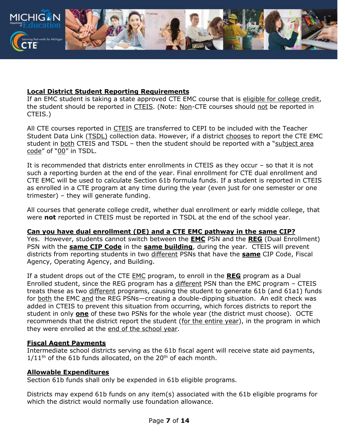

#### **Local District Student Reporting Requirements**

If an EMC student is taking a state approved CTE EMC course that is eligible for college credit, the student should be reported in CTEIS. (Note: Non-CTE courses should not be reported in CTEIS.)

All CTE courses reported in CTEIS are transferred to CEPI to be included with the Teacher Student Data Link (TSDL) collection data. However, if a district chooses to report the CTE EMC student in both CTEIS and TSDL – then the student should be reported with a "subject area code" of "00" in TSDL.

It is recommended that districts enter enrollments in CTEIS as they occur – so that it is not such a reporting burden at the end of the year. Final enrollment for CTE dual enrollment and CTE EMC will be used to calculate Section 61b formula funds. If a student is reported in CTEIS as enrolled in a CTE program at any time during the year (even just for one semester or one trimester) – they will generate funding.

All courses that generate college credit, whether dual enrollment or early middle college, that were **not** reported in CTEIS must be reported in TSDL at the end of the school year.

#### **Can you have dual enrollment (DE) and a CTE EMC pathway in the same CIP?**

Yes. However, students cannot switch between the **EMC** PSN and the **REG** (Dual Enrollment) PSN with the **same CIP Code** in the **same building**, during the year. CTEIS will prevent districts from reporting students in two different PSNs that have the **same** CIP Code, Fiscal Agency, Operating Agency, and Building.

If a student drops out of the CTE EMC program, to enroll in the **REG** program as a Dual Enrolled student, since the REG program has a different PSN than the EMC program – CTEIS treats these as two different programs, causing the student to generate 61b (and 61a1) funds for both the EMC and the REG PSNs—creating a double-dipping situation. An edit check was added in CTEIS to prevent this situation from occurring, which forces districts to report the student in only **one** of these two PSNs for the whole year (the district must choose). OCTE recommends that the district report the student (for the entire year), in the program in which they were enrolled at the end of the school year.

#### **Fiscal Agent Payments**

Intermediate school districts serving as the 61b fiscal agent will receive state aid payments,  $1/11<sup>th</sup>$  of the 61b funds allocated, on the 20<sup>th</sup> of each month.

#### **Allowable Expenditures**

Section 61b funds shall only be expended in 61b eligible programs.

Districts may expend 61b funds on any item(s) associated with the 61b eligible programs for which the district would normally use foundation allowance.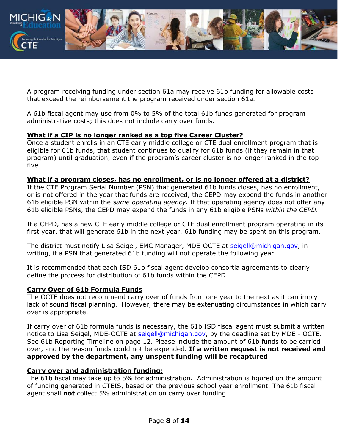

A program receiving funding under section 61a may receive 61b funding for allowable costs that exceed the reimbursement the program received under section 61a.

A 61b fiscal agent may use from 0% to 5% of the total 61b funds generated for program administrative costs; this does not include carry over funds.

#### **What if a CIP is no longer ranked as a top five Career Cluster?**

Once a student enrolls in an CTE early middle college or CTE dual enrollment program that is eligible for 61b funds, that student continues to qualify for 61b funds (if they remain in that program) until graduation, even if the program's career cluster is no longer ranked in the top five.

#### **What if a program closes, has no enrollment, or is no longer offered at a district?**

If the CTE Program Serial Number (PSN) that generated 61b funds closes, has no enrollment, or is not offered in the year that funds are received, the CEPD may expend the funds in another 61b eligible PSN within the *same operating agency.* If that operating agency does not offer any 61b eligible PSNs, the CEPD may expend the funds in any 61b eligible PSNs *within the CEPD*.

If a CEPD, has a new CTE early middle college or CTE dual enrollment program operating in its first year, that will generate 61b in the next year, 61b funding may be spent on this program.

The district must notify Lisa Seigel, EMC Manager, MDE-OCTE at [seigell@michigan.gov,](mailto:seigell@michigan.gov) in writing, if a PSN that generated 61b funding will not operate the following year.

It is recommended that each ISD 61b fiscal agent develop consortia agreements to clearly define the process for distribution of 61b funds within the CEPD.

#### **Carry Over of 61b Formula Funds**

The OCTE does not recommend carry over of funds from one year to the next as it can imply lack of sound fiscal planning. However, there may be extenuating circumstances in which carry over is appropriate.

If carry over of 61b formula funds is necessary, the 61b ISD fiscal agent must submit a written notice to Lisa Seigel, MDE-OCTE at [seigell@michigan.gov,](mailto:seigell@michigan.gov) by the deadline set by MDE - OCTE. See 61b Reporting Timeline on page 12. Please include the amount of 61b funds to be carried over, and the reason funds could not be expended. **If a written request is not received and approved by the department, any unspent funding will be recaptured**.

#### **Carry over and administration funding:**

The 61b fiscal may take up to 5% for administration. Administration is figured on the amount of funding generated in CTEIS, based on the previous school year enrollment. The 61b fiscal agent shall **not** collect 5% administration on carry over funding.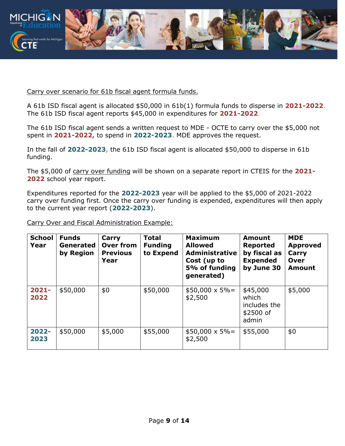

Carry over scenario for 61b fiscal agent formula funds.

A 61b ISD fiscal agent is allocated \$50,000 in 61b(1) formula funds to disperse in **2021-2022**. The 61b ISD fiscal agent reports \$45,000 in expenditures for **2021-2022**.

The 61b ISD fiscal agent sends a written request to MDE - OCTE to carry over the \$5,000 not spent in **2021-2022,** to spend in **2022-2023**. MDE approves the request.

In the fall of **2022-2023**, the 61b ISD fiscal agent is allocated \$50,000 to disperse in 61b funding.

The \$5,000 of carry over funding will be shown on a separate report in CTEIS for the **2021- 2022** school year report.

Expenditures reported for the **2022-2023** year will be applied to the \$5,000 of 2021-2022 carry over funding first. Once the carry over funding is expended, expenditures will then apply to the current year report (**2022-2023**).

Carry Over and Fiscal Administration Example:

| <b>School</b><br>Year | <b>Funds</b><br>Generated<br>by Region | Carry<br><b>Over from</b><br><b>Previous</b><br>Year | <b>Total</b><br><b>Funding</b><br>to Expend | <b>Maximum</b><br><b>Allowed</b><br><b>Administrative</b><br>Cost (up to<br>5% of funding<br>generated) | <b>Amount</b><br><b>Reported</b><br>by fiscal as<br><b>Expended</b><br>by June 30 | <b>MDE</b><br><b>Approved</b><br>Carry<br><b>Over</b><br><b>Amount</b> |
|-----------------------|----------------------------------------|------------------------------------------------------|---------------------------------------------|---------------------------------------------------------------------------------------------------------|-----------------------------------------------------------------------------------|------------------------------------------------------------------------|
| $2021 -$<br>2022      | \$50,000                               | \$0                                                  | \$50,000                                    | $$50,000 \times 5\% =$<br>\$2,500                                                                       | \$45,000<br>which<br>includes the<br>\$2500 of<br>admin                           | \$5,000                                                                |
| 2022-<br>2023         | \$50,000                               | \$5,000                                              | \$55,000                                    | $$50,000 \times 5\% =$<br>\$2,500                                                                       | \$55,000                                                                          | \$0                                                                    |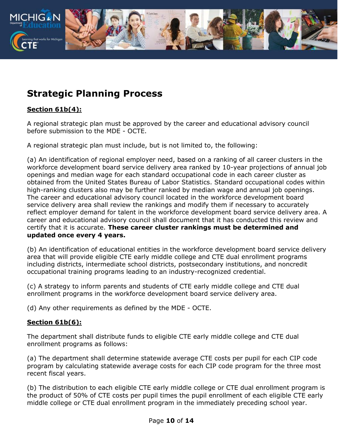

# <span id="page-9-0"></span>**Strategic Planning Process**

#### **Section 61b(4):**

A regional strategic plan must be approved by the career and educational advisory council before submission to the MDE - OCTE.

A regional strategic plan must include, but is not limited to, the following:

(a) An identification of regional employer need, based on a ranking of all career clusters in the workforce development board service delivery area ranked by 10-year projections of annual job openings and median wage for each standard occupational code in each career cluster as obtained from the United States Bureau of Labor Statistics. Standard occupational codes within high-ranking clusters also may be further ranked by median wage and annual job openings. The career and educational advisory council located in the workforce development board service delivery area shall review the rankings and modify them if necessary to accurately reflect employer demand for talent in the workforce development board service delivery area. A career and educational advisory council shall document that it has conducted this review and certify that it is accurate. **These career cluster rankings must be determined and updated once every 4 years.**

(b) An identification of educational entities in the workforce development board service delivery area that will provide eligible CTE early middle college and CTE dual enrollment programs including districts, intermediate school districts, postsecondary institutions, and noncredit occupational training programs leading to an industry-recognized credential.

(c) A strategy to inform parents and students of CTE early middle college and CTE dual enrollment programs in the workforce development board service delivery area.

(d) Any other requirements as defined by the MDE - OCTE.

#### **Section 61b(6):**

The department shall distribute funds to eligible CTE early middle college and CTE dual enrollment programs as follows:

(a) The department shall determine statewide average CTE costs per pupil for each CIP code program by calculating statewide average costs for each CIP code program for the three most recent fiscal years.

(b) The distribution to each eligible CTE early middle college or CTE dual enrollment program is the product of 50% of CTE costs per pupil times the pupil enrollment of each eligible CTE early middle college or CTE dual enrollment program in the immediately preceding school year.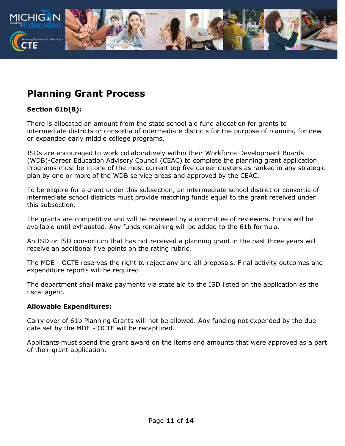

### <span id="page-10-0"></span>**Planning Grant Process**

#### **Section 61b(8):**

There is allocated an amount from the state school aid fund allocation for grants to intermediate districts or consortia of intermediate districts for the purpose of planning for new or expanded early middle college programs.

ISDs are encouraged to work collaboratively within their Workforce Development Boards (WDB)-Career Education Advisory Council (CEAC) to complete the planning grant application. Programs must be in one of the most current top five career clusters as ranked in any strategic plan by one or more of the WDB service areas and approved by the CEAC.

To be eligible for a grant under this subsection, an intermediate school district or consortia of intermediate school districts must provide matching funds equal to the grant received under this subsection.

The grants are competitive and will be reviewed by a committee of reviewers. Funds will be available until exhausted. Any funds remaining will be added to the 61b formula.

An ISD or ISD consortium that has not received a planning grant in the past three years will receive an additional five points on the rating rubric.

The MDE - OCTE reserves the right to reject any and all proposals. Final activity outcomes and expenditure reports will be required.

The department shall make payments via state aid to the ISD listed on the application as the fiscal agent.

#### **Allowable Expenditures:**

Carry over of 61b Planning Grants will not be allowed. Any funding not expended by the due date set by the MDE - OCTE will be recaptured.

Applicants must spend the grant award on the items and amounts that were approved as a part of their grant application.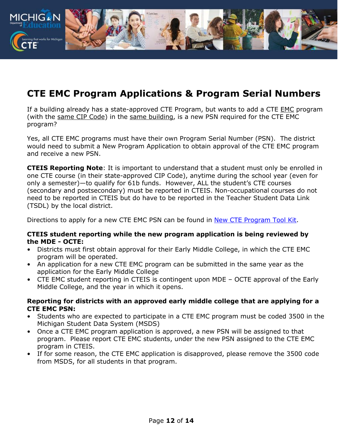

# <span id="page-11-0"></span>**CTE EMC Program Applications & Program Serial Numbers**

If a building already has a state-approved CTE Program, but wants to add a CTE EMC program (with the same CIP Code) in the same building, is a new PSN required for the CTE EMC program?

Yes, all CTE EMC programs must have their own Program Serial Number (PSN). The district would need to submit a New Program Application to obtain approval of the CTE EMC program and receive a new PSN.

**CTEIS Reporting Note**: It is important to understand that a student must only be enrolled in one CTE course (in their state-approved CIP Code), anytime during the school year (even for only a semester)—to qualify for 61b funds. However, ALL the student's CTE courses (secondary and postsecondary) must be reported in CTEIS. Non-occupational courses do not need to be reported in CTEIS but do have to be reported in the Teacher Student Data Link (TSDL) by the local district.

Directions to apply for a new CTE EMC PSN can be found in [New CTE Program Tool Kit.](https://www.michigan.gov/documents/mde/New_CTE_Program_Application_Tool_Kit_702081_7.pdf)

#### **CTEIS student reporting while the new program application is being reviewed by the MDE - OCTE:**

- Districts must first obtain approval for their Early Middle College, in which the CTE EMC program will be operated.
- An application for a new CTE EMC program can be submitted in the same year as the application for the Early Middle College
- CTE EMC student reporting in CTEIS is contingent upon MDE OCTE approval of the Early Middle College, and the year in which it opens.

#### **Reporting for districts with an approved early middle college that are applying for a CTE EMC PSN:**

- Students who are expected to participate in a CTE EMC program must be coded 3500 in the Michigan Student Data System (MSDS)
- Once a CTE EMC program application is approved, a new PSN will be assigned to that program. Please report CTE EMC students, under the new PSN assigned to the CTE EMC program in CTEIS.
- If for some reason, the CTE EMC application is disapproved, please remove the 3500 code from MSDS, for all students in that program.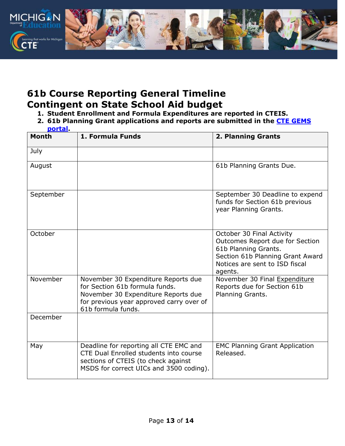

### <span id="page-12-1"></span><span id="page-12-0"></span>**61b Course Reporting General Timeline Contingent on State School Aid budget**

- **1. Student Enrollment and Formula Expenditures are reported in CTEIS.**
- **2. 61b Planning Grant applications and reports are submitted in the [CTE GEMS](https://mdoe.state.mi.us/gems/public/QuestionnaireHome.aspx?code=i7c9tdfd) [portal.](https://mdoe.state.mi.us/gems/public/QuestionnaireHome.aspx?code=i7c9tdfd)**

| <b>Month</b> | 1. Formula Funds                                                                                                                                                               | 2. Planning Grants                                                                                                                                                    |
|--------------|--------------------------------------------------------------------------------------------------------------------------------------------------------------------------------|-----------------------------------------------------------------------------------------------------------------------------------------------------------------------|
| July         |                                                                                                                                                                                |                                                                                                                                                                       |
| August       |                                                                                                                                                                                | 61b Planning Grants Due.                                                                                                                                              |
| September    |                                                                                                                                                                                | September 30 Deadline to expend<br>funds for Section 61b previous<br>year Planning Grants.                                                                            |
| October      |                                                                                                                                                                                | October 30 Final Activity<br>Outcomes Report due for Section<br>61b Planning Grants.<br>Section 61b Planning Grant Award<br>Notices are sent to ISD fiscal<br>agents. |
| November     | November 30 Expenditure Reports due<br>for Section 61b formula funds.<br>November 30 Expenditure Reports due<br>for previous year approved carry over of<br>61b formula funds. | November 30 Final Expenditure<br>Reports due for Section 61b<br>Planning Grants.                                                                                      |
| December     |                                                                                                                                                                                |                                                                                                                                                                       |
| May          | Deadline for reporting all CTE EMC and<br>CTE Dual Enrolled students into course<br>sections of CTEIS (to check against<br>MSDS for correct UICs and 3500 coding).             | <b>EMC Planning Grant Application</b><br>Released.                                                                                                                    |